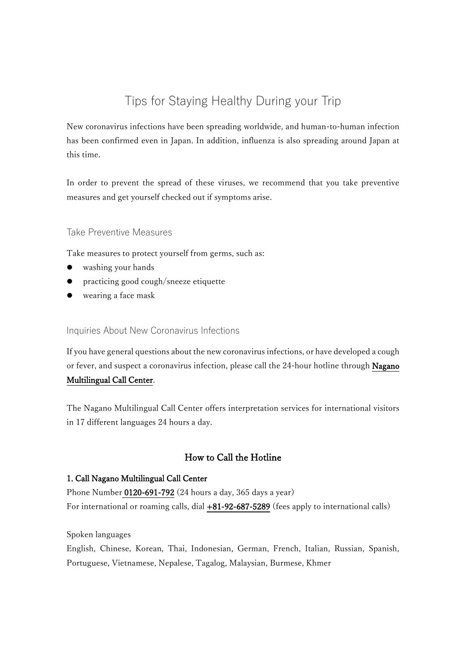# Tips for Staying Healthy During your Trip

New coronavirus infections have been spreading worldwide, and human-to-human infection has been confirmed even in Japan. In addition, influenza is also spreading around Japan at this time.

In order to prevent the spread of these viruses, we recommend that you take preventive measures and get yourself checked out if symptoms arise.

### Take Preventive Measures

Take measures to protect yourself from germs, such as:

- washing your hands
- practicing good cough/sneeze etiquette
- wearing a face mask

#### Inquiries About New Coronavirus Infections

If you have general questions about the new coronavirus infections, or have developed a cough or fever, and suspect a coronavirus infection, please call the 24-hour hotline through Nagano Multilingual Call Center.

The Nagano Multilingual Call Center offers interpretation services for international visitors in 17 different languages 24 hours a day.

# How to Call the Hotline

#### 1. Call Nagano Multilingual Call Center

Phone Number 0120-691-792 (24 hours a day, 365 days a year) For international or roaming calls, dial +81-92-687-5289 (fees apply to international calls)

Spoken languages

English, Chinese, Korean, Thai, Indonesian, German, French, Italian, Russian, Spanish, Portuguese, Vietnamese, Nepalese, Tagalog, Malaysian, Burmese, Khmer